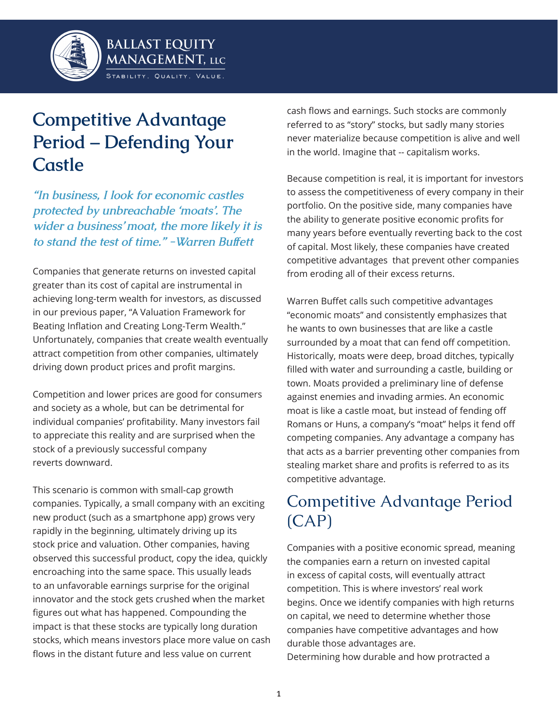

# **Competitive Advantage Period – Defending Your Castle**

*The business, I look for economic castles protected by unbreachable 'moats'. The <i>Wider a business' moat, the more likely it is* to stand the test of time." - Warren Buffett

Companies that generate returns on invested capital greater than its cost of capital are instrumental in achieving long-term wealth for investors, as discussed in our previous paper, "A Valuation Framework for Beating Inflation and Creating Long-Term Wealth." Unfortunately, companies that create wealth eventually attract competition from other companies, ultimately driving down product prices and profit margins.

Competition and lower prices are good for consumers and society as a whole, but can be detrimental for individual companies' profitability. Many investors fail to appreciate this reality and are surprised when the stock of a previously successful company reverts downward

This scenario is common with small-cap growth companies. Typically, a small company with an exciting new product (such as a smartphone app) grows very rapidly in the beginning, ultimately driving up its stock price and valuation. Other companies, having observed this successful product, copy the idea, quickly encroaching into the same space. This usually leads to an unfavorable earnings surprise for the original innovator and the stock gets crushed when the market figures out what has happened. Compounding the impact is that these stocks are typically long duration stocks, which means investors place more value on cash flows in the distant future and less value on current

cash flows and earnings. Such stocks are commonly referred to as "story" stocks, but sadly many stories never materialize because competition is alive and well in the world. Imagine that -- capitalism works.

Because competition is real, it is important for investors to assess the competitiveness of every company in their portfolio. On the positive side, many companies have the ability to generate positive economic profits for many years before eventually reverting back to the cost of capital. Most likely, these companies have created competitive advantages that prevent other companies from eroding all of their excess returns.

Warren Buffet calls such competitive advantages "economic moats" and consistently emphasizes that he wants to own businesses that are like a castle surrounded by a moat that can fend off competition. Historically, moats were deep, broad ditches, typically filled with water and surrounding a castle, building or town. Moats provided a preliminary line of defense against enemies and invading armies. An economic moat is like a castle moat, but instead of fending off Romans or Huns, a company's "moat" helps it fend off competing companies. Any advantage a company has that acts as a barrier preventing other companies from stealing market share and profits is referred to as its competitive advantage.

## Competitive Advantage Period  $(CAP)$

Companies with a positive economic spread, meaning the companies earn a return on invested capital in excess of capital costs, will eventually attract competition. This is where investors' real work begins. Once we identify companies with high returns on capital, we need to determine whether those companies have competitive advantages and how durable those advantages are. Determining how durable and how protracted a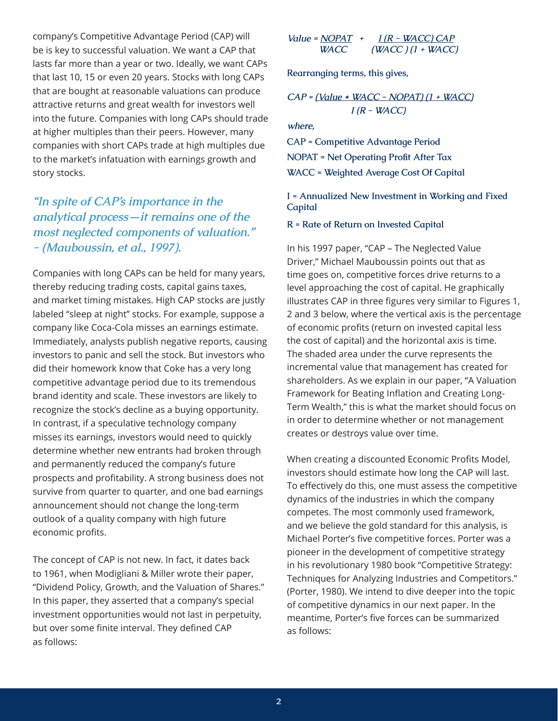company's Competitive Advantage Period (CAP) will be is key to successful valuation. We want a CAP that lasts far more than a year or two. Ideally, we want CAPs that last 10, 15 or even 20 years. Stocks with long CAPs that are bought at reasonable valuations can produce attractive returns and great wealth for investors well into the future. Companies with long CAPs should trade at higher multiples than their peers. However, many companies with short CAPs trade at high multiples due to the market's infatuation with earnings growth and story stocks.

### *"In spite of CAP's importance in the* analytical process-it remains one of the *PROPIECT A COMPONENTS of valuation.*" - (Mauboussin, et al., 1997).

Companies with long CAPs can be held for many years, thereby reducing trading costs, capital gains taxes, and market timing mistakes. High CAP stocks are justly labeled "sleep at night" stocks. For example, suppose a company like Coca-Cola misses an earnings estimate. Immediately, analysts publish negative reports, causing investors to panic and sell the stock. But investors who did their homework know that Coke has a very long competitive advantage period due to its tremendous brand identity and scale. These investors are likely to recognize the stock's decline as a buying opportunity. In contrast, if a speculative technology company misses its earnings, investors would need to quickly determine whether new entrants had broken through and permanently reduced the company's future prospects and profitability. A strong business does not survive from quarter to quarter, and one bad earnings announcement should not change the long-term outlook of a quality company with high future economic profits.

The concept of CAP is not new. In fact, it dates back to 1961, when Modigliani & Miller wrote their paper, "Dividend Policy, Growth, and the Valuation of Shares." In this paper, they asserted that a company's special investment opportunities would not last in perpetuity, but over some finite interval. They defined CAP as follows:

Value = 
$$
\frac{NOPAT}{V}
$$
 +  $\frac{I(R - WACC)CAP}{(WACC) (1 + WACC)}$ 

Rearranging terms, this gives,

$$
CAP = (Value * WACC - NOPAT) (1 + WACC)
$$
  
I (R - WACC)

where,

**CAP = Competitive Advantage Period NOPAT = Net Operating Profit After Tax WACC** = Weighted Average Cost Of Capital

I = Annualized New Investment in Working and Fixed **Capital** 

**R** = Rate of Return on Invested Capital

In his 1997 paper, "CAP – The Neglected Value Driver." Michael Mauboussin points out that as time goes on, competitive forces drive returns to a level approaching the cost of capital. He graphically illustrates CAP in three figures very similar to Figures 1, 2 and 3 below, where the vertical axis is the percentage of economic profits (return on invested capital less the cost of capital) and the horizontal axis is time. The shaded area under the curve represents the incremental value that management has created for shareholders. As we explain in our paper, "A Valuation Framework for Beating Inflation and Creating Long-Term Wealth," this is what the market should focus on in order to determine whether or not management creates or destroys value over time.

When creating a discounted Economic Profits Model, investors should estimate how long the CAP will last. To effectively do this, one must assess the competitive dynamics of the industries in which the company competes. The most commonly used framework, and we believe the gold standard for this analysis, is Michael Porter's five competitive forces. Porter was a pioneer in the development of competitive strategy in his revolutionary 1980 book "Competitive Strategy: Techniques for Analyzing Industries and Competitors." (Porter, 1980). We intend to dive deeper into the topic of competitive dynamics in our next paper. In the meantime. Porter's five forces can be summarized as follows: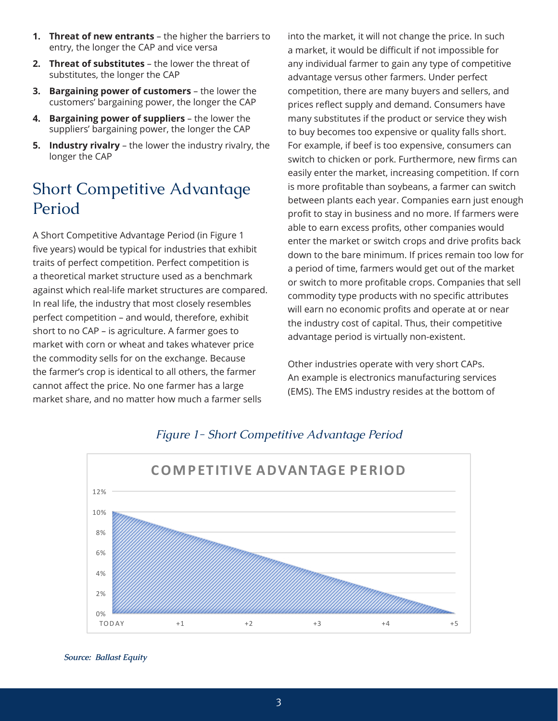- **1. Threat of new entrants** the higher the barriers to entry, the longer the CAP and vice versa
- **2. Threat of substitutes**  the lower the threat of substitutes, the longer the CAP
- **3. Bargaining power of customers**  the lower the customers' bargaining power, the longer the CAP
- **4. Bargaining power of suppliers** the lower the suppliers' bargaining power, the longer the CAP
- **5. Industry rivalry**  the lower the industry rivalry, the longer the CAP

### Short Competitive Advantage Period

A Short Competitive Advantage Period (in Figure 1 five years) would be typical for industries that exhibit traits of perfect competition. Perfect competition is a theoretical market structure used as a benchmark against which real-life market structures are compared. In real life, the industry that most closely resembles perfect competition - and would, therefore, exhibit short to no CAP - is agriculture. A farmer goes to market with corn or wheat and takes whatever price the commodity sells for on the exchange. Because the farmer's crop is identical to all others, the farmer cannot affect the price. No one farmer has a large market share, and no matter how much a farmer sells

into the market, it will not change the price. In such a market, it would be difficult if not impossible for any individual farmer to gain any type of competitive advantage versus other farmers. Under perfect competition, there are many buyers and sellers, and prices reflect supply and demand. Consumers have many substitutes if the product or service they wish to buy becomes too expensive or quality falls short. For example, if beef is too expensive, consumers can switch to chicken or pork. Furthermore, new firms can easily enter the market, increasing competition. If corn is more profitable than soybeans, a farmer can switch between plants each year. Companies earn just enough profit to stay in business and no more. If farmers were able to earn excess profits, other companies would enter the market or switch crops and drive profits back down to the bare minimum. If prices remain too low for a period of time, farmers would get out of the market or switch to more profitable crops. Companies that sell commodity type products with no specific attributes will earn no economic profits and operate at or near the industry cost of capital. Thus, their competitive advantage period is virtually non-existent.

Other industries operate with very short CAPs. An example is electronics manufacturing services (EMS). The EMS industry resides at the bottom of



### **Figure 1- Short Competitive Advantage Period**

*<i>Source:* Ballast Equity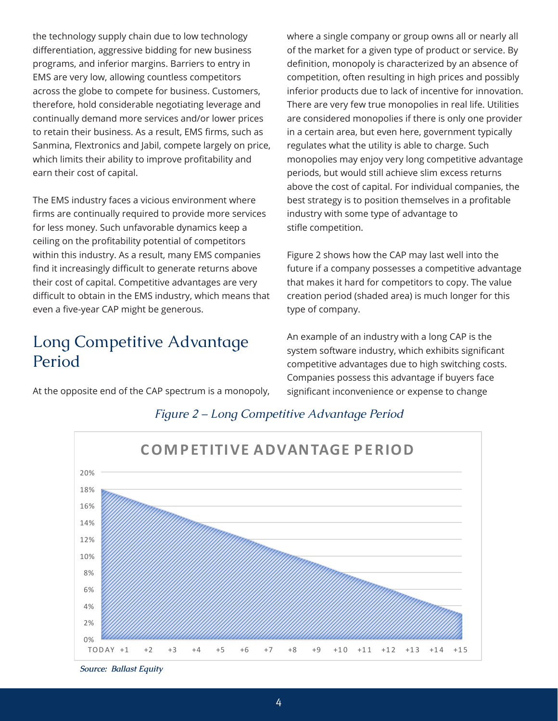the technology supply chain due to low technology differentiation, aggressive bidding for new business programs, and inferior margins. Barriers to entry in EMS are very low, allowing countless competitors across the globe to compete for business. Customers, therefore, hold considerable negotiating leverage and continually demand more services and/or lower prices to retain their business. As a result, EMS firms, such as Sanmina, Flextronics and Jabil, compete largely on price, which limits their ability to improve profitability and earn their cost of capital.

The EMS industry faces a vicious environment where firms are continually required to provide more services for less money. Such unfavorable dynamics keep a ceiling on the profitability potential of competitors within this industry. As a result, many EMS companies find it increasingly difficult to generate returns above their cost of capital. Competitive advantages are very difficult to obtain in the EMS industry, which means that even a five-year CAP might be generous.

### Long Competitive Advantage Period

At the opposite end of the CAP spectrum is a monopoly,

where a single company or group owns all or nearly all of the market for a given type of product or service. By definition, monopoly is characterized by an absence of competition, often resulting in high prices and possibly inferior products due to lack of incentive for innovation. There are very few true monopolies in real life. Utilities are considered monopolies if there is only one provider in a certain area, but even here, government typically regulates what the utility is able to charge. Such monopolies may enjoy very long competitive advantage periods, but would still achieve slim excess returns above the cost of capital. For individual companies, the best strategy is to position themselves in a profitable industry with some type of advantage to stifle competition.

Figure 2 shows how the CAP may last well into the future if a company possesses a competitive advantage that makes it hard for competitors to copy. The value creation period (shaded area) is much longer for this type of company.

An example of an industry with a long CAP is the system software industry, which exhibits significant competitive advantages due to high switching costs. Companies possess this advantage if buyers face significant inconvenience or expense to change



#### *Figure 2 – Long Competitive Advantage Period*

*Source: Ballast Equity*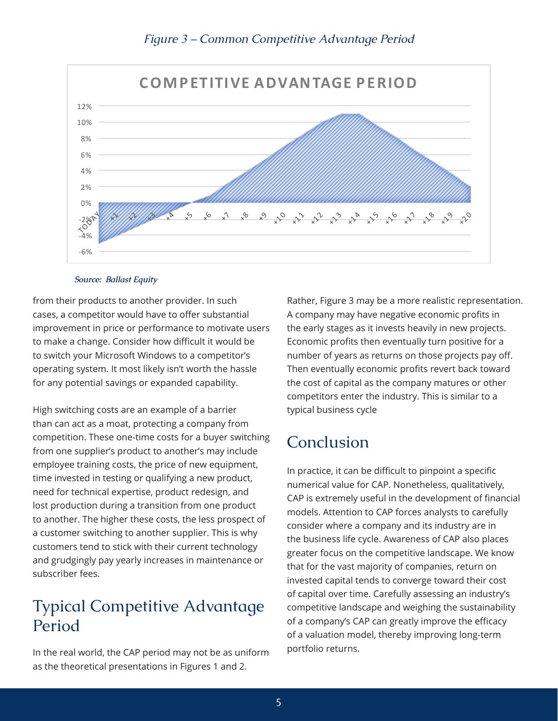

#### *Figure 3 – Common Competitive Advantage Period*

#### *Source: Ballast Equity*

from their products to another provider. In such cases, a competitor would have to offer substantial improvement in price or performance to motivate users to make a change. Consider how difficult it would be to switch your Microsoft Windows to a competitor's operating system. It most likely isn't worth the hassle for any potential savings or expanded capability.

High switching costs are an example of a barrier than can act as a moat, protecting a company from competition. These one-time costs for a buyer switching from one supplier's product to another's may include employee training costs, the price of new equipment, time invested in testing or qualifying a new product, need for technical expertise, product redesign, and lost production during a transition from one product to another. The higher these costs, the less prospect of a customer switching to another supplier. This is why customers tend to stick with their current technology and grudgingly pay yearly increases in maintenance or subscriber fees

### **Typical Competitive Advantage** Period

In the real world, the CAP period may not be as uniform as the theoretical presentations in Figures 1 and 2.

Rather, Figure 3 may be a more realistic representation. A company may have negative economic profits in the early stages as it invests heavily in new projects. Economic profits then eventually turn positive for a number of years as returns on those projects pay off. Then eventually economic profits revert back toward the cost of capital as the company matures or other competitors enter the industry. This is similar to a typical business cycle

### Conclusion

In practice, it can be difficult to pinpoint a specific numerical value for CAP. Nonetheless, qualitatively, CAP is extremely useful in the development of financial models. Attention to CAP forces analysts to carefully consider where a company and its industry are in the business life cycle. Awareness of CAP also places greater focus on the competitive landscape. We know that for the vast majority of companies, return on invested capital tends to converge toward their cost of capital over time. Carefully assessing an industry's competitive landscape and weighing the sustainability of a company's CAP can greatly improve the efficacy of a valuation model, thereby improving long-term portfolio returns.